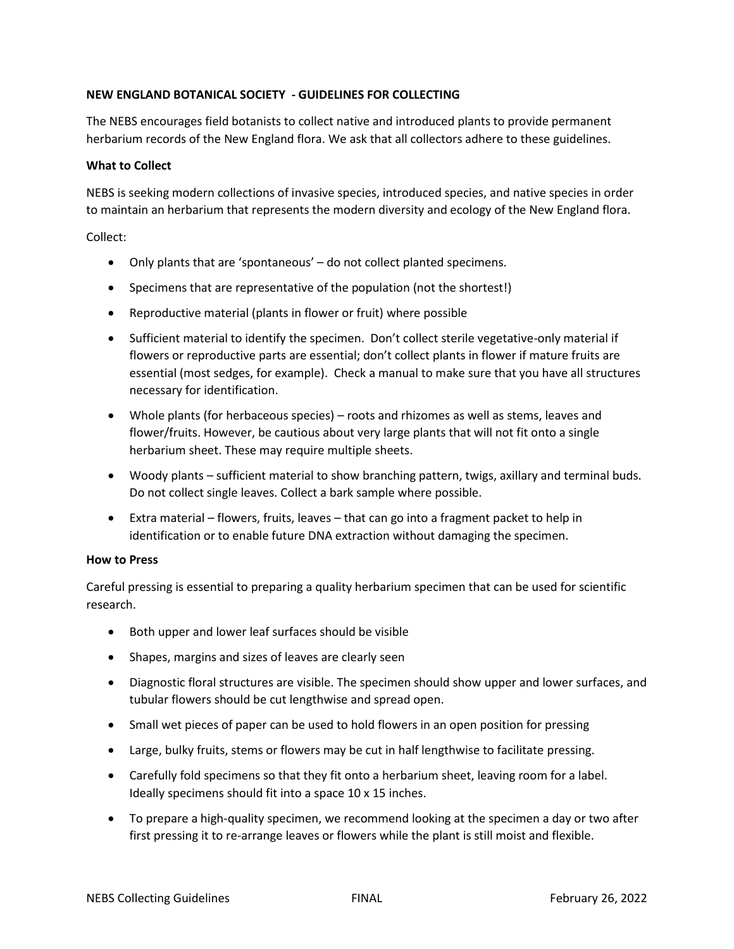## **NEW ENGLAND BOTANICAL SOCIETY - GUIDELINES FOR COLLECTING**

The NEBS encourages field botanists to collect native and introduced plants to provide permanent herbarium records of the New England flora. We ask that all collectors adhere to these guidelines.

#### **What to Collect**

NEBS is seeking modern collections of invasive species, introduced species, and native species in order to maintain an herbarium that represents the modern diversity and ecology of the New England flora.

Collect:

- Only plants that are 'spontaneous' do not collect planted specimens.
- Specimens that are representative of the population (not the shortest!)
- Reproductive material (plants in flower or fruit) where possible
- Sufficient material to identify the specimen. Don't collect sterile vegetative-only material if flowers or reproductive parts are essential; don't collect plants in flower if mature fruits are essential (most sedges, for example). Check a manual to make sure that you have all structures necessary for identification.
- Whole plants (for herbaceous species) roots and rhizomes as well as stems, leaves and flower/fruits. However, be cautious about very large plants that will not fit onto a single herbarium sheet. These may require multiple sheets.
- Woody plants sufficient material to show branching pattern, twigs, axillary and terminal buds. Do not collect single leaves. Collect a bark sample where possible.
- Extra material flowers, fruits, leaves that can go into a fragment packet to help in identification or to enable future DNA extraction without damaging the specimen.

#### **How to Press**

Careful pressing is essential to preparing a quality herbarium specimen that can be used for scientific research.

- Both upper and lower leaf surfaces should be visible
- Shapes, margins and sizes of leaves are clearly seen
- Diagnostic floral structures are visible. The specimen should show upper and lower surfaces, and tubular flowers should be cut lengthwise and spread open.
- Small wet pieces of paper can be used to hold flowers in an open position for pressing
- Large, bulky fruits, stems or flowers may be cut in half lengthwise to facilitate pressing.
- Carefully fold specimens so that they fit onto a herbarium sheet, leaving room for a label. Ideally specimens should fit into a space 10 x 15 inches.
- To prepare a high-quality specimen, we recommend looking at the specimen a day or two after first pressing it to re-arrange leaves or flowers while the plant is still moist and flexible.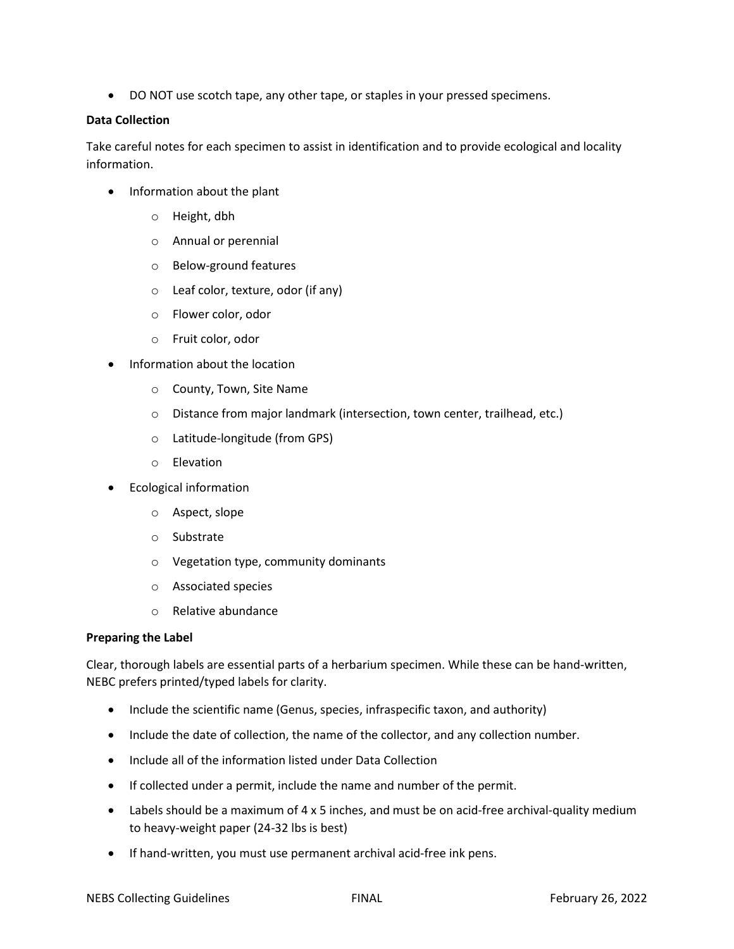• DO NOT use scotch tape, any other tape, or staples in your pressed specimens.

#### **Data Collection**

Take careful notes for each specimen to assist in identification and to provide ecological and locality information.

- Information about the plant
	- o Height, dbh
	- o Annual or perennial
	- o Below-ground features
	- o Leaf color, texture, odor (if any)
	- o Flower color, odor
	- o Fruit color, odor
- Information about the location
	- o County, Town, Site Name
	- o Distance from major landmark (intersection, town center, trailhead, etc.)
	- o Latitude-longitude (from GPS)
	- o Elevation
- Ecological information
	- o Aspect, slope
	- o Substrate
	- o Vegetation type, community dominants
	- o Associated species
	- o Relative abundance

### **Preparing the Label**

Clear, thorough labels are essential parts of a herbarium specimen. While these can be hand-written, NEBC prefers printed/typed labels for clarity.

- Include the scientific name (Genus, species, infraspecific taxon, and authority)
- Include the date of collection, the name of the collector, and any collection number.
- Include all of the information listed under Data Collection
- If collected under a permit, include the name and number of the permit.
- Labels should be a maximum of 4 x 5 inches, and must be on acid-free archival-quality medium to heavy-weight paper (24-32 lbs is best)
- If hand-written, you must use permanent archival acid-free ink pens.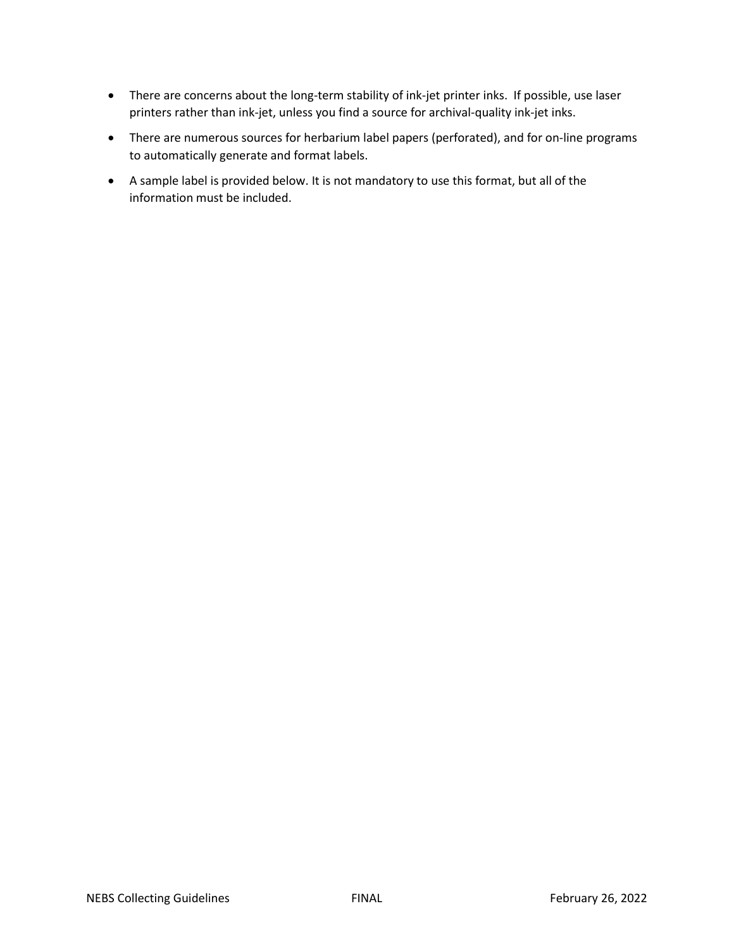- There are concerns about the long-term stability of ink-jet printer inks. If possible, use laser printers rather than ink-jet, unless you find a source for archival-quality ink-jet inks.
- There are numerous sources for herbarium label papers (perforated), and for on-line programs to automatically generate and format labels.
- A sample label is provided below. It is not mandatory to use this format, but all of the information must be included.